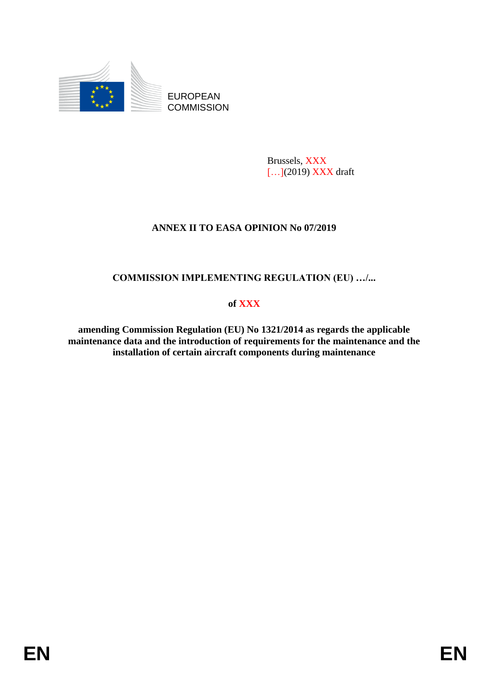

EUROPEAN **COMMISSION** 

> Brussels, XXX [...](2019) XXX draft

# **ANNEX II TO EASA OPINION No 07/2019**

## **COMMISSION IMPLEMENTING REGULATION (EU) …/...**

## **of XXX**

**amending Commission Regulation (EU) No 1321/2014 as regards the applicable maintenance data and the introduction of requirements for the maintenance and the installation of certain aircraft components during maintenance**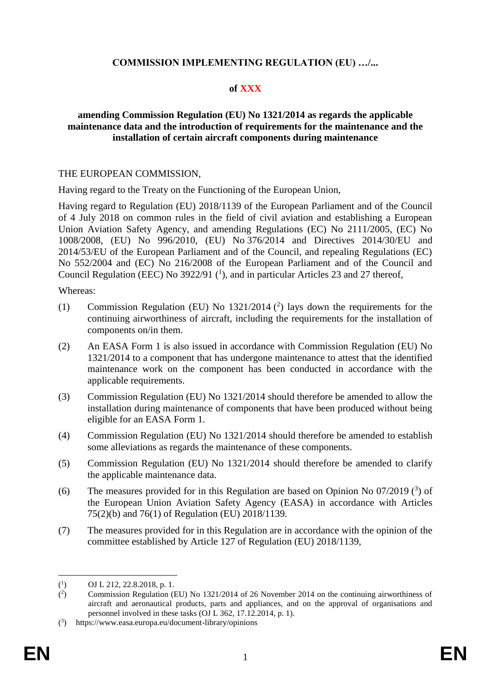## **COMMISSION IMPLEMENTING REGULATION (EU) …/...**

### **of XXX**

### **amending Commission Regulation (EU) No 1321/2014 as regards the applicable maintenance data and the introduction of requirements for the maintenance and the installation of certain aircraft components during maintenance**

#### THE EUROPEAN COMMISSION,

Having regard to the Treaty on the Functioning of the European Union,

Having regard to Regulation (EU) 2018/1139 of the European Parliament and of the Council of 4 July 2018 on common rules in the field of civil aviation and establishing a European Union Aviation Safety Agency, and amending Regulations (EC) No 2111/2005, (EC) No 1008/2008, (EU) No 996/2010, (EU) No 376/2014 and Directives 2014/30/EU and 2014/53/EU of the European Parliament and of the Council, and repealing Regulations (EC) No 552/2004 and (EC) No 216/2008 of the European Parliament and of the Council and Council Regulation (EEC) No 3922/91 ( 1 ), and in particular Articles 23 and 27 thereof,

Whereas:

- (1) Commission Regulation (EU) No  $1321/2014$  (<sup>2</sup>) lays down the requirements for the continuing airworthiness of aircraft, including the requirements for the installation of components on/in them.
- (2) An EASA Form 1 is also issued in accordance with Commission Regulation (EU) No 1321/2014 to a component that has undergone maintenance to attest that the identified maintenance work on the component has been conducted in accordance with the applicable requirements.
- (3) Commission Regulation (EU) No 1321/2014 should therefore be amended to allow the installation during maintenance of components that have been produced without being eligible for an EASA Form 1.
- (4) Commission Regulation (EU) No 1321/2014 should therefore be amended to establish some alleviations as regards the maintenance of these components.
- (5) Commission Regulation (EU) No 1321/2014 should therefore be amended to clarify the applicable maintenance data.
- (6) The measures provided for in this Regulation are based on Opinion No  $07/2019$  (<sup>3</sup>) of the European Union Aviation Safety Agency (EASA) in accordance with Articles 75(2)(b) and 76(1) of Regulation (EU) 2018/1139.
- (7) The measures provided for in this Regulation are in accordance with the opinion of the committee established by Article 127 of Regulation (EU) 2018/1139,

1

 $(^1$ ) OJ L 212, 22.8.2018, p. 1.

 $($ <sup>2</sup> ) Commission Regulation (EU) No 1321/2014 of 26 November 2014 on the continuing airworthiness of aircraft and aeronautical products, parts and appliances, and on the approval of organisations and personnel involved in these tasks (OJ L 362, 17.12.2014, p. 1).

<sup>(</sup> 3 ) https://www.easa.europa.eu/document-library/opinions